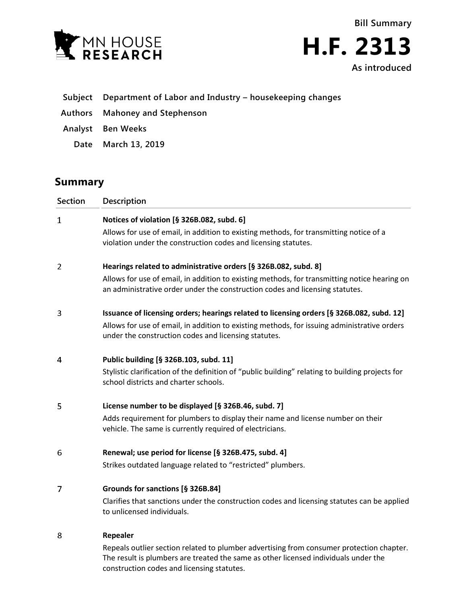

| <b>Bill Summary</b> |
|---------------------|
| <b>H.F. 2313</b>    |
| As introduced       |

- **Subject Department of Labor and Industry – housekeeping changes**
- **Authors Mahoney and Stephenson**
- **Analyst Ben Weeks**
	- **Date March 13, 2019**

## **Summary**

| Section | Description                                                                                                                                                                                                                                      |
|---------|--------------------------------------------------------------------------------------------------------------------------------------------------------------------------------------------------------------------------------------------------|
| 1       | Notices of violation [§ 326B.082, subd. 6]<br>Allows for use of email, in addition to existing methods, for transmitting notice of a<br>violation under the construction codes and licensing statutes.                                           |
| 2       | Hearings related to administrative orders [§ 326B.082, subd. 8]<br>Allows for use of email, in addition to existing methods, for transmitting notice hearing on<br>an administrative order under the construction codes and licensing statutes.  |
| 3       | Issuance of licensing orders; hearings related to licensing orders [§ 326B.082, subd. 12]<br>Allows for use of email, in addition to existing methods, for issuing administrative orders<br>under the construction codes and licensing statutes. |
| 4       | Public building [§ 326B.103, subd. 11]<br>Stylistic clarification of the definition of "public building" relating to building projects for<br>school districts and charter schools.                                                              |
| 5       | License number to be displayed [§ 326B.46, subd. 7]<br>Adds requirement for plumbers to display their name and license number on their<br>vehicle. The same is currently required of electricians.                                               |
| 6       | Renewal; use period for license [§ 326B.475, subd. 4]<br>Strikes outdated language related to "restricted" plumbers.                                                                                                                             |
| 7       | Grounds for sanctions [§ 326B.84]<br>Clarifies that sanctions under the construction codes and licensing statutes can be applied<br>to unlicensed individuals.                                                                                   |
| 8       | Repealer<br>Repeals outlier section related to plumber advertising from consumer protection chapter.<br>The result is plumbers are treated the same as other licensed individuals under the                                                      |

construction codes and licensing statutes.